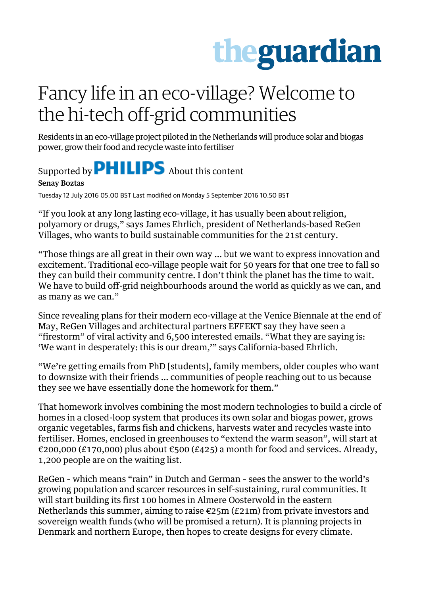## theguardian

## Fancy life in an eco-village? Welcome to the hi-tech off-grid communities

Residents in an eco-village project piloted in the Netherlands will produce solar and biogas power, grow their food and recycle waste into fertiliser

## Supported by **PHILIPS** About this content

Senay Boztas

Tuesday 12 July 2016 05.00 BST Last modified on Monday 5 September 2016 10.50 BST

"If you look at any long lasting eco-village, it has usually been about religion, polyamory or drugs," says James Ehrlich, president of Netherlands-based ReGen Villages, who wants to build sustainable communities for the 21st century.

"Those things are all great in their own way … but we want to express innovation and excitement. Traditional eco-village people wait for 50 years for that one tree to fall so they can build their community centre. I don't think the planet has the time to wait. We have to build off-grid neighbourhoods around the world as quickly as we can, and as many as we can."

Since revealing plans for their modern eco-village at the Venice Biennale at the end of May, ReGen Villages and architectural partners EFFEKT say they have seen a "firestorm" of viral activity and 6,500 interested emails. "What they are saying is: 'We want in desperately: this is our dream,'" says California-based Ehrlich.

"We're getting emails from PhD [students], family members, older couples who want to downsize with their friends … communities of people reaching out to us because they see we have essentially done the homework for them."

That homework involves combining the most modern technologies to build a circle of homes in a closed-loop system that produces its own solar and biogas power, grows organic vegetables, farms fish and chickens, harvests water and recycles waste into fertiliser. Homes, enclosed in greenhouses to "extend the warm season", will start at €200,000 (£170,000) plus about €500 (£425) a month for food and services. Already, 1,200 people are on the waiting list.

ReGen – which means "rain" in Dutch and German – sees the answer to the world's growing population and scarcer resources in self-sustaining, rural communities. It will start building its first 100 homes in Almere Oosterwold in the eastern Netherlands this summer, aiming to raise  $\epsilon$ 25m (£21m) from private investors and sovereign wealth funds (who will be promised a return). It is planning projects in Denmark and northern Europe, then hopes to create designs for every climate.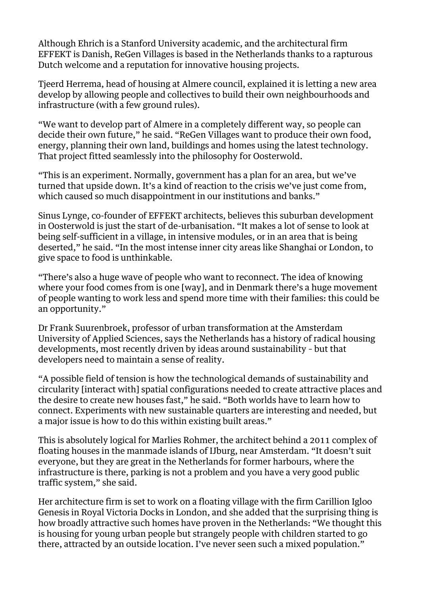Although Ehrich is a Stanford University academic, and the architectural firm EFFEKT is Danish, ReGen Villages is based in the Netherlands thanks to a rapturous Dutch welcome and a reputation for innovative housing projects.

Tjeerd Herrema, head of housing at Almere council, explained it is letting a new area develop by allowing people and collectives to build their own neighbourhoods and infrastructure (with a few ground rules).

"We want to develop part of Almere in a completely different way, so people can decide their own future," he said. "ReGen Villages want to produce their own food, energy, planning their own land, buildings and homes using the latest technology. That project fitted seamlessly into the philosophy for Oosterwold.

"This is an experiment. Normally, government has a plan for an area, but we've turned that upside down. It's a kind of reaction to the crisis we've just come from, which caused so much disappointment in our institutions and banks."

Sinus Lynge, co-founder of EFFEKT architects, believes this suburban development in Oosterwold is just the start of de-urbanisation. "It makes a lot of sense to look at being self-sufficient in a village, in intensive modules, or in an area that is being deserted," he said. "In the most intense inner city areas like Shanghai or London, to give space to food is unthinkable.

"There's also a huge wave of people who want to reconnect. The idea of knowing where your food comes from is one [way], and in Denmark there's a huge movement of people wanting to work less and spend more time with their families: this could be an opportunity."

Dr Frank Suurenbroek, professor of urban transformation at the Amsterdam University of Applied Sciences, says the Netherlands has a history of radical housing developments, most recently driven by ideas around sustainability – but that developers need to maintain a sense of reality.

"A possible field of tension is how the technological demands of sustainability and circularity [interact with] spatial configurations needed to create attractive places and the desire to create new houses fast," he said. "Both worlds have to learn how to connect. Experiments with new sustainable quarters are interesting and needed, but a major issue is how to do this within existing built areas."

This is absolutely logical for Marlies Rohmer, the architect behind a 2011 complex of floating houses in the manmade islands of IJburg, near Amsterdam. "It doesn't suit everyone, but they are great in the Netherlands for former harbours, where the infrastructure is there, parking is not a problem and you have a very good public traffic system," she said.

Her architecture firm is set to work on a floating village with the firm Carillion Igloo Genesis in Royal Victoria Docks in London, and she added that the surprising thing is how broadly attractive such homes have proven in the Netherlands: "We thought this is housing for young urban people but strangely people with children started to go there, attracted by an outside location. I've never seen such a mixed population."